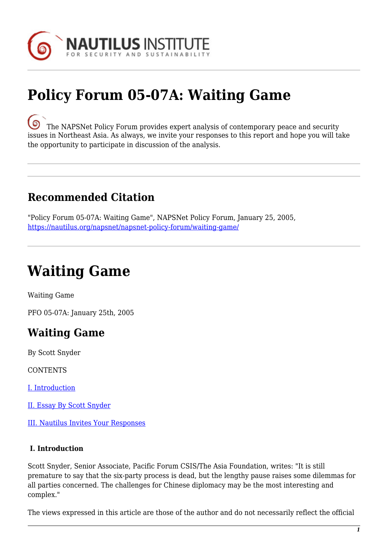

# **Policy Forum 05-07A: Waiting Game**

. ඉ [T](https://nautilus.org/wp-content/uploads/2013/05/nautilus-logo-small.png)he NAPSNet Policy Forum provides expert analysis of contemporary peace and security issues in Northeast Asia. As always, we invite your responses to this report and hope you will take the opportunity to participate in discussion of the analysis.

## **Recommended Citation**

"Policy Forum 05-07A: Waiting Game", NAPSNet Policy Forum, January 25, 2005, <https://nautilus.org/napsnet/napsnet-policy-forum/waiting-game/>

# **Waiting Game**

Waiting Game

PFO 05-07A: January 25th, 2005

## **Waiting Game**

By Scott Snyder

**CONTENTS** 

[I. Introduction](#page-0-0)

[II. Essay By Scott Snyder](#page-1-0)

[III. Nautilus Invites Your Responses](#page-5-0)

#### <span id="page-0-0"></span> **I. Introduction**

Scott Snyder, Senior Associate, Pacific Forum CSIS/The Asia Foundation, writes: "It is still premature to say that the six-party process is dead, but the lengthy pause raises some dilemmas for all parties concerned. The challenges for Chinese diplomacy may be the most interesting and complex."

The views expressed in this article are those of the author and do not necessarily reflect the official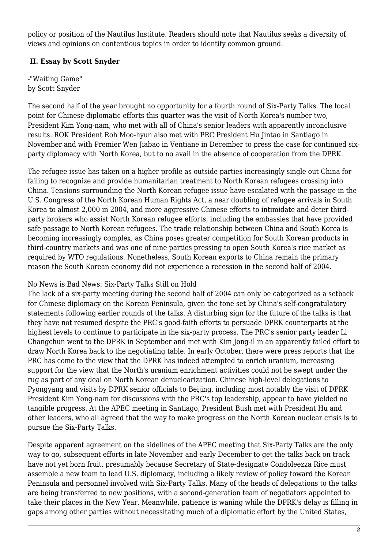policy or position of the Nautilus Institute. Readers should note that Nautilus seeks a diversity of views and opinions on contentious topics in order to identify common ground.

### <span id="page-1-0"></span> **II. Essay by Scott Snyder**

-"Waiting Game" by Scott Snyder

The second half of the year brought no opportunity for a fourth round of Six-Party Talks. The focal point for Chinese diplomatic efforts this quarter was the visit of North Korea's number two, President Kim Yong-nam, who met with all of China's senior leaders with apparently inconclusive results. ROK President Roh Moo-hyun also met with PRC President Hu Jintao in Santiago in November and with Premier Wen Jiabao in Ventiane in December to press the case for continued sixparty diplomacy with North Korea, but to no avail in the absence of cooperation from the DPRK.

The refugee issue has taken on a higher profile as outside parties increasingly single out China for failing to recognize and provide humanitarian treatment to North Korean refugees crossing into China. Tensions surrounding the North Korean refugee issue have escalated with the passage in the U.S. Congress of the North Korean Human Rights Act, a near doubling of refugee arrivals in South Korea to almost 2,000 in 2004, and more aggressive Chinese efforts to intimidate and deter thirdparty brokers who assist North Korean refugee efforts, including the embassies that have provided safe passage to North Korean refugees. The trade relationship between China and South Korea is becoming increasingly complex, as China poses greater competition for South Korean products in third-country markets and was one of nine parties pressing to open South Korea's rice market as required by WTO regulations. Nonetheless, South Korean exports to China remain the primary reason the South Korean economy did not experience a recession in the second half of 2004.

#### No News is Bad News: Six-Party Talks Still on Hold

The lack of a six-party meeting during the second half of 2004 can only be categorized as a setback for Chinese diplomacy on the Korean Peninsula, given the tone set by China's self-congratulatory statements following earlier rounds of the talks. A disturbing sign for the future of the talks is that they have not resumed despite the PRC's good-faith efforts to persuade DPRK counterparts at the highest levels to continue to participate in the six-party process. The PRC's senior party leader Li Changchun went to the DPRK in September and met with Kim Jong-il in an apparently failed effort to draw North Korea back to the negotiating table. In early October, there were press reports that the PRC has come to the view that the DPRK has indeed attempted to enrich uranium, increasing support for the view that the North's uranium enrichment activities could not be swept under the rug as part of any deal on North Korean denuclearization. Chinese high-level delegations to Pyongyang and visits by DPRK senior officials to Beijing, including most notably the visit of DPRK President Kim Yong-nam for discussions with the PRC's top leadership, appear to have yielded no tangible progress. At the APEC meeting in Santiago, President Bush met with President Hu and other leaders, who all agreed that the way to make progress on the North Korean nuclear crisis is to pursue the Six-Party Talks.

Despite apparent agreement on the sidelines of the APEC meeting that Six-Party Talks are the only way to go, subsequent efforts in late November and early December to get the talks back on track have not yet born fruit, presumably because Secretary of State-designate Condoleezza Rice must assemble a new team to lead U.S. diplomacy, including a likely review of policy toward the Korean Peninsula and personnel involved with Six-Party Talks. Many of the heads of delegations to the talks are being transferred to new positions, with a second-generation team of negotiators appointed to take their places in the New Year. Meanwhile, patience is waning while the DPRK's delay is filling in gaps among other parties without necessitating much of a diplomatic effort by the United States,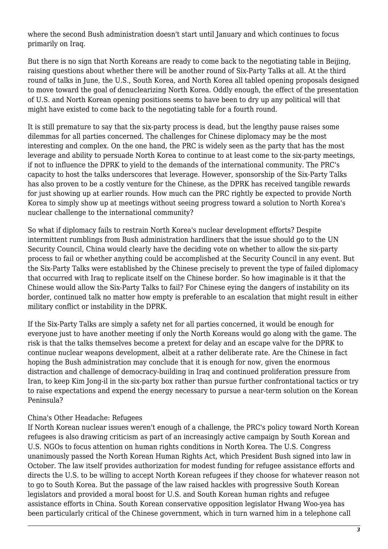where the second Bush administration doesn't start until January and which continues to focus primarily on Iraq.

But there is no sign that North Koreans are ready to come back to the negotiating table in Beijing, raising questions about whether there will be another round of Six-Party Talks at all. At the third round of talks in June, the U.S., South Korea, and North Korea all tabled opening proposals designed to move toward the goal of denuclearizing North Korea. Oddly enough, the effect of the presentation of U.S. and North Korean opening positions seems to have been to dry up any political will that might have existed to come back to the negotiating table for a fourth round.

It is still premature to say that the six-party process is dead, but the lengthy pause raises some dilemmas for all parties concerned. The challenges for Chinese diplomacy may be the most interesting and complex. On the one hand, the PRC is widely seen as the party that has the most leverage and ability to persuade North Korea to continue to at least come to the six-party meetings, if not to influence the DPRK to yield to the demands of the international community. The PRC's capacity to host the talks underscores that leverage. However, sponsorship of the Six-Party Talks has also proven to be a costly venture for the Chinese, as the DPRK has received tangible rewards for just showing up at earlier rounds. How much can the PRC rightly be expected to provide North Korea to simply show up at meetings without seeing progress toward a solution to North Korea's nuclear challenge to the international community?

So what if diplomacy fails to restrain North Korea's nuclear development efforts? Despite intermittent rumblings from Bush administration hardliners that the issue should go to the UN Security Council, China would clearly have the deciding vote on whether to allow the six-party process to fail or whether anything could be accomplished at the Security Council in any event. But the Six-Party Talks were established by the Chinese precisely to prevent the type of failed diplomacy that occurred with Iraq to replicate itself on the Chinese border. So how imaginable is it that the Chinese would allow the Six-Party Talks to fail? For Chinese eying the dangers of instability on its border, continued talk no matter how empty is preferable to an escalation that might result in either military conflict or instability in the DPRK.

If the Six-Party Talks are simply a safety net for all parties concerned, it would be enough for everyone just to have another meeting if only the North Koreans would go along with the game. The risk is that the talks themselves become a pretext for delay and an escape valve for the DPRK to continue nuclear weapons development, albeit at a rather deliberate rate. Are the Chinese in fact hoping the Bush administration may conclude that it is enough for now, given the enormous distraction and challenge of democracy-building in Iraq and continued proliferation pressure from Iran, to keep Kim Jong-il in the six-party box rather than pursue further confrontational tactics or try to raise expectations and expend the energy necessary to pursue a near-term solution on the Korean Peninsula?

#### China's Other Headache: Refugees

If North Korean nuclear issues weren't enough of a challenge, the PRC's policy toward North Korean refugees is also drawing criticism as part of an increasingly active campaign by South Korean and U.S. NGOs to focus attention on human rights conditions in North Korea. The U.S. Congress unanimously passed the North Korean Human Rights Act, which President Bush signed into law in October. The law itself provides authorization for modest funding for refugee assistance efforts and directs the U.S. to be willing to accept North Korean refugees if they choose for whatever reason not to go to South Korea. But the passage of the law raised hackles with progressive South Korean legislators and provided a moral boost for U.S. and South Korean human rights and refugee assistance efforts in China. South Korean conservative opposition legislator Hwang Woo-yea has been particularly critical of the Chinese government, which in turn warned him in a telephone call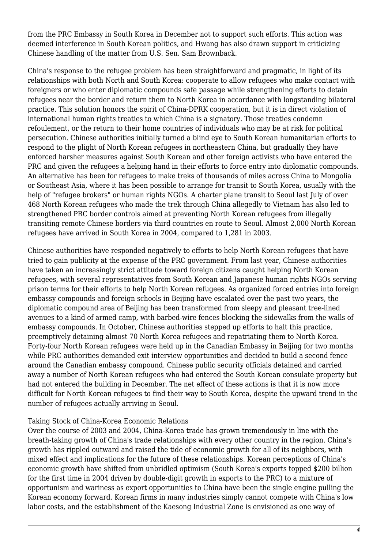from the PRC Embassy in South Korea in December not to support such efforts. This action was deemed interference in South Korean politics, and Hwang has also drawn support in criticizing Chinese handling of the matter from U.S. Sen. Sam Brownback.

China's response to the refugee problem has been straightforward and pragmatic, in light of its relationships with both North and South Korea: cooperate to allow refugees who make contact with foreigners or who enter diplomatic compounds safe passage while strengthening efforts to detain refugees near the border and return them to North Korea in accordance with longstanding bilateral practice. This solution honors the spirit of China-DPRK cooperation, but it is in direct violation of international human rights treaties to which China is a signatory. Those treaties condemn refoulement, or the return to their home countries of individuals who may be at risk for political persecution. Chinese authorities initially turned a blind eye to South Korean humanitarian efforts to respond to the plight of North Korean refugees in northeastern China, but gradually they have enforced harsher measures against South Korean and other foreign activists who have entered the PRC and given the refugees a helping hand in their efforts to force entry into diplomatic compounds. An alternative has been for refugees to make treks of thousands of miles across China to Mongolia or Southeast Asia, where it has been possible to arrange for transit to South Korea, usually with the help of "refugee brokers" or human rights NGOs. A charter plane transit to Seoul last July of over 468 North Korean refugees who made the trek through China allegedly to Vietnam has also led to strengthened PRC border controls aimed at preventing North Korean refugees from illegally transiting remote Chinese borders via third countries en route to Seoul. Almost 2,000 North Korean refugees have arrived in South Korea in 2004, compared to 1,281 in 2003.

Chinese authorities have responded negatively to efforts to help North Korean refugees that have tried to gain publicity at the expense of the PRC government. From last year, Chinese authorities have taken an increasingly strict attitude toward foreign citizens caught helping North Korean refugees, with several representatives from South Korean and Japanese human rights NGOs serving prison terms for their efforts to help North Korean refugees. As organized forced entries into foreign embassy compounds and foreign schools in Beijing have escalated over the past two years, the diplomatic compound area of Beijing has been transformed from sleepy and pleasant tree-lined avenues to a kind of armed camp, with barbed-wire fences blocking the sidewalks from the walls of embassy compounds. In October, Chinese authorities stepped up efforts to halt this practice, preemptively detaining almost 70 North Korea refugees and repatriating them to North Korea. Forty-four North Korean refugees were held up in the Canadian Embassy in Beijing for two months while PRC authorities demanded exit interview opportunities and decided to build a second fence around the Canadian embassy compound. Chinese public security officials detained and carried away a number of North Korean refugees who had entered the South Korean consulate property but had not entered the building in December. The net effect of these actions is that it is now more difficult for North Korean refugees to find their way to South Korea, despite the upward trend in the number of refugees actually arriving in Seoul.

#### Taking Stock of China-Korea Economic Relations

Over the course of 2003 and 2004, China-Korea trade has grown tremendously in line with the breath-taking growth of China's trade relationships with every other country in the region. China's growth has rippled outward and raised the tide of economic growth for all of its neighbors, with mixed effect and implications for the future of these relationships. Korean perceptions of China's economic growth have shifted from unbridled optimism (South Korea's exports topped \$200 billion for the first time in 2004 driven by double-digit growth in exports to the PRC) to a mixture of opportunism and wariness as export opportunities to China have been the single engine pulling the Korean economy forward. Korean firms in many industries simply cannot compete with China's low labor costs, and the establishment of the Kaesong Industrial Zone is envisioned as one way of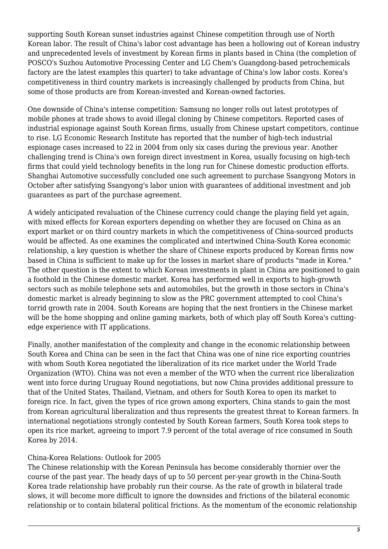supporting South Korean sunset industries against Chinese competition through use of North Korean labor. The result of China's labor cost advantage has been a hollowing out of Korean industry and unprecedented levels of investment by Korean firms in plants based in China (the completion of POSCO's Suzhou Automotive Processing Center and LG Chem's Guangdong-based petrochemicals factory are the latest examples this quarter) to take advantage of China's low labor costs. Korea's competitiveness in third country markets is increasingly challenged by products from China, but some of those products are from Korean-invested and Korean-owned factories.

One downside of China's intense competition: Samsung no longer rolls out latest prototypes of mobile phones at trade shows to avoid illegal cloning by Chinese competitors. Reported cases of industrial espionage against South Korean firms, usually from Chinese upstart competitors, continue to rise. LG Economic Research Institute has reported that the number of high-tech industrial espionage cases increased to 22 in 2004 from only six cases during the previous year. Another challenging trend is China's own foreign direct investment in Korea, usually focusing on high-tech firms that could yield technology benefits in the long run for Chinese domestic production efforts. Shanghai Automotive successfully concluded one such agreement to purchase Ssangyong Motors in October after satisfying Ssangyong's labor union with guarantees of additional investment and job guarantees as part of the purchase agreement.

A widely anticipated revaluation of the Chinese currency could change the playing field yet again, with mixed effects for Korean exporters depending on whether they are focused on China as an export market or on third country markets in which the competitiveness of China-sourced products would be affected. As one examines the complicated and intertwined China-South Korea economic relationship, a key question is whether the share of Chinese exports produced by Korean firms now based in China is sufficient to make up for the losses in market share of products "made in Korea." The other question is the extent to which Korean investments in plant in China are positioned to gain a foothold in the Chinese domestic market. Korea has performed well in exports to high-growth sectors such as mobile telephone sets and automobiles, but the growth in those sectors in China's domestic market is already beginning to slow as the PRC government attempted to cool China's torrid growth rate in 2004. South Koreans are hoping that the next frontiers in the Chinese market will be the home shopping and online gaming markets, both of which play off South Korea's cuttingedge experience with IT applications.

Finally, another manifestation of the complexity and change in the economic relationship between South Korea and China can be seen in the fact that China was one of nine rice exporting countries with whom South Korea negotiated the liberalization of its rice market under the World Trade Organization (WTO). China was not even a member of the WTO when the current rice liberalization went into force during Uruguay Round negotiations, but now China provides additional pressure to that of the United States, Thailand, Vietnam, and others for South Korea to open its market to foreign rice. In fact, given the types of rice grown among exporters, China stands to gain the most from Korean agricultural liberalization and thus represents the greatest threat to Korean farmers. In international negotiations strongly contested by South Korean farmers, South Korea took steps to open its rice market, agreeing to import 7.9 percent of the total average of rice consumed in South Korea by 2014.

#### China-Korea Relations: Outlook for 2005

The Chinese relationship with the Korean Peninsula has become considerably thornier over the course of the past year. The heady days of up to 50 percent per-year growth in the China-South Korea trade relationship have probably run their course. As the rate of growth in bilateral trade slows, it will become more difficult to ignore the downsides and frictions of the bilateral economic relationship or to contain bilateral political frictions. As the momentum of the economic relationship